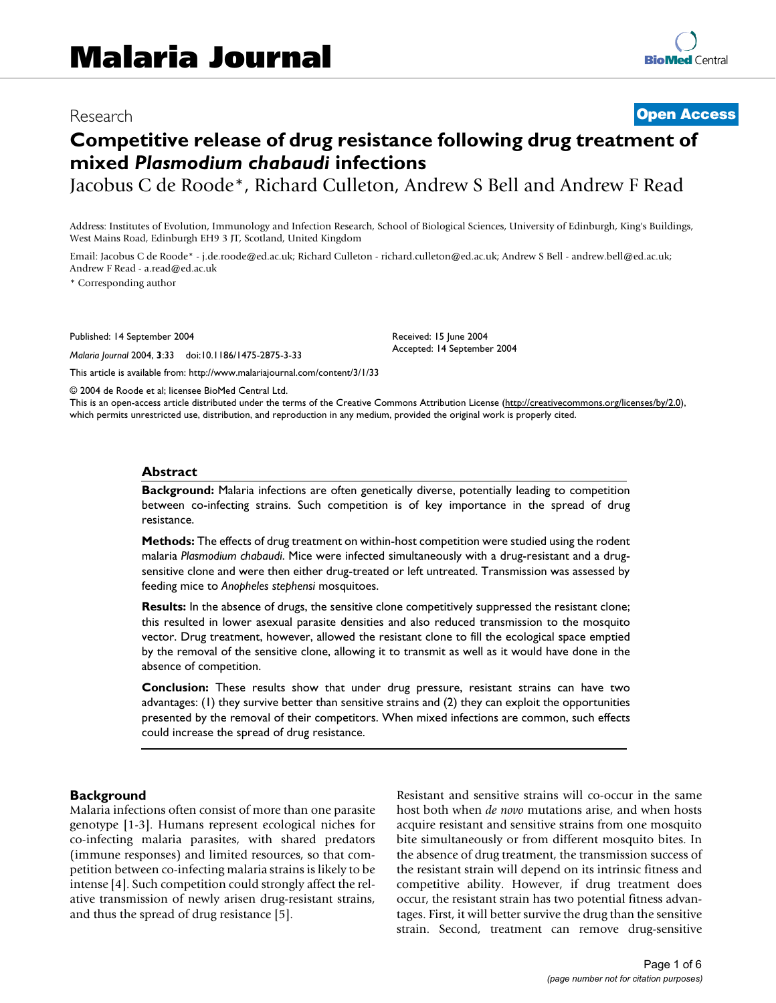# Research **[Open Access](http://www.biomedcentral.com/info/about/charter/)**

# **Competitive release of drug resistance following drug treatment of mixed** *Plasmodium chabaudi* **infections**

Jacobus C de Roode\*, Richard Culleton, Andrew S Bell and Andrew F Read

Address: Institutes of Evolution, Immunology and Infection Research, School of Biological Sciences, University of Edinburgh, King's Buildings, West Mains Road, Edinburgh EH9 3 JT, Scotland, United Kingdom

Email: Jacobus C de Roode\* - j.de.roode@ed.ac.uk; Richard Culleton - richard.culleton@ed.ac.uk; Andrew S Bell - andrew.bell@ed.ac.uk; Andrew F Read - a.read@ed.ac.uk

\* Corresponding author

Published: 14 September 2004

*Malaria Journal* 2004, **3**:33 doi:10.1186/1475-2875-3-33

[This article is available from: http://www.malariajournal.com/content/3/1/33](http://www.malariajournal.com/content/3/1/33)

Received: 15 June 2004 Accepted: 14 September 2004

© 2004 de Roode et al; licensee BioMed Central Ltd.

This is an open-access article distributed under the terms of the Creative Commons Attribution License (<http://creativecommons.org/licenses/by/2.0>), which permits unrestricted use, distribution, and reproduction in any medium, provided the original work is properly cited.

#### **Abstract**

**Background:** Malaria infections are often genetically diverse, potentially leading to competition between co-infecting strains. Such competition is of key importance in the spread of drug resistance.

**Methods:** The effects of drug treatment on within-host competition were studied using the rodent malaria *Plasmodium chabaudi*. Mice were infected simultaneously with a drug-resistant and a drugsensitive clone and were then either drug-treated or left untreated. Transmission was assessed by feeding mice to *Anopheles stephensi* mosquitoes.

**Results:** In the absence of drugs, the sensitive clone competitively suppressed the resistant clone; this resulted in lower asexual parasite densities and also reduced transmission to the mosquito vector. Drug treatment, however, allowed the resistant clone to fill the ecological space emptied by the removal of the sensitive clone, allowing it to transmit as well as it would have done in the absence of competition.

**Conclusion:** These results show that under drug pressure, resistant strains can have two advantages: (1) they survive better than sensitive strains and (2) they can exploit the opportunities presented by the removal of their competitors. When mixed infections are common, such effects could increase the spread of drug resistance.

#### **Background**

Malaria infections often consist of more than one parasite genotype [[1](#page-4-0)[-3\]](#page-4-1). Humans represent ecological niches for co-infecting malaria parasites, with shared predators (immune responses) and limited resources, so that competition between co-infecting malaria strains is likely to be intense [4]. Such competition could strongly affect the relative transmission of newly arisen drug-resistant strains, and thus the spread of drug resistance [5].

Resistant and sensitive strains will co-occur in the same host both when *de novo* mutations arise, and when hosts acquire resistant and sensitive strains from one mosquito bite simultaneously or from different mosquito bites. In the absence of drug treatment, the transmission success of the resistant strain will depend on its intrinsic fitness and competitive ability. However, if drug treatment does occur, the resistant strain has two potential fitness advantages. First, it will better survive the drug than the sensitive strain. Second, treatment can remove drug-sensitive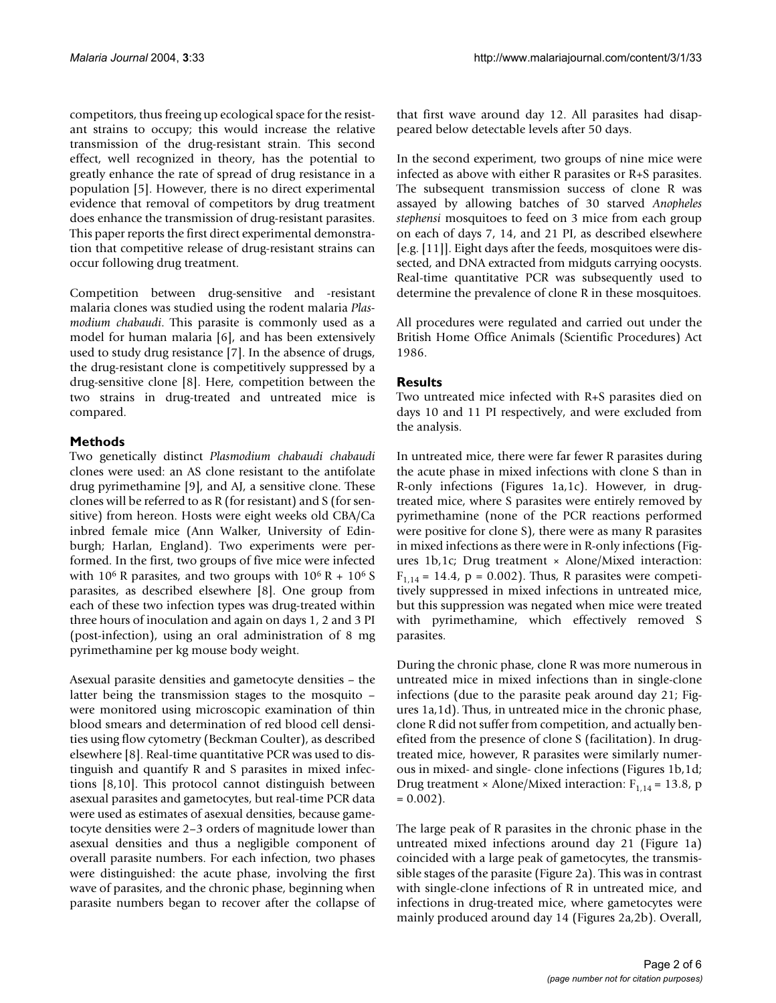competitors, thus freeing up ecological space for the resistant strains to occupy; this would increase the relative transmission of the drug-resistant strain. This second effect, well recognized in theory, has the potential to greatly enhance the rate of spread of drug resistance in a population [5]. However, there is no direct experimental evidence that removal of competitors by drug treatment does enhance the transmission of drug-resistant parasites. This paper reports the first direct experimental demonstration that competitive release of drug-resistant strains can occur following drug treatment.

Competition between drug-sensitive and -resistant malaria clones was studied using the rodent malaria *Plasmodium chabaudi*. This parasite is commonly used as a model for human malaria [6], and has been extensively used to study drug resistance [7]. In the absence of drugs, the drug-resistant clone is competitively suppressed by a drug-sensitive clone [8]. Here, competition between the two strains in drug-treated and untreated mice is compared.

## **Methods**

Two genetically distinct *Plasmodium chabaudi chabaudi* clones were used: an AS clone resistant to the antifolate drug pyrimethamine [\[9](#page-4-2)], and AJ, a sensitive clone. These clones will be referred to as R (for resistant) and S (for sensitive) from hereon. Hosts were eight weeks old CBA/Ca inbred female mice (Ann Walker, University of Edinburgh; Harlan, England). Two experiments were performed. In the first, two groups of five mice were infected with  $10^6$  R parasites, and two groups with  $10^6$  R +  $10^6$  S parasites, as described elsewhere [8]. One group from each of these two infection types was drug-treated within three hours of inoculation and again on days 1, 2 and 3 PI (post-infection), using an oral administration of 8 mg pyrimethamine per kg mouse body weight.

Asexual parasite densities and gametocyte densities – the latter being the transmission stages to the mosquito – were monitored using microscopic examination of thin blood smears and determination of red blood cell densities using flow cytometry (Beckman Coulter), as described elsewhere [8]. Real-time quantitative PCR was used to distinguish and quantify R and S parasites in mixed infections [8,10]. This protocol cannot distinguish between asexual parasites and gametocytes, but real-time PCR data were used as estimates of asexual densities, because gametocyte densities were 2–3 orders of magnitude lower than asexual densities and thus a negligible component of overall parasite numbers. For each infection, two phases were distinguished: the acute phase, involving the first wave of parasites, and the chronic phase, beginning when parasite numbers began to recover after the collapse of that first wave around day 12. All parasites had disappeared below detectable levels after 50 days.

In the second experiment, two groups of nine mice were infected as above with either R parasites or R+S parasites. The subsequent transmission success of clone R was assayed by allowing batches of 30 starved *Anopheles stephensi* mosquitoes to feed on 3 mice from each group on each of days 7, 14, and 21 PI, as described elsewhere [e.g. [11]]. Eight days after the feeds, mosquitoes were dissected, and DNA extracted from midguts carrying oocysts. Real-time quantitative PCR was subsequently used to determine the prevalence of clone R in these mosquitoes.

All procedures were regulated and carried out under the British Home Office Animals (Scientific Procedures) Act 1986.

# **Results**

Two untreated mice infected with R+S parasites died on days 10 and 11 PI respectively, and were excluded from the analysis.

In untreated mice, there were far fewer R parasites during the acute phase in mixed infections with clone S than in R-only infections (Figures [1a](#page-2-0),1c). However, in drugtreated mice, where S parasites were entirely removed by pyrimethamine (none of the PCR reactions performed were positive for clone S), there were as many R parasites in mixed infections as there were in R-only infections (Figures  $1b,1c$  $1b,1c$ ; Drug treatment  $\times$  Alone/Mixed interaction:  $F_{1,14} = 14.4$ ,  $p = 0.002$ ). Thus, R parasites were competitively suppressed in mixed infections in untreated mice, but this suppression was negated when mice were treated with pyrimethamine, which effectively removed S parasites.

During the chronic phase, clone R was more numerous in untreated mice in mixed infections than in single-clone infections (due to the parasite peak around day 21; Figures [1](#page-2-0)a,1d). Thus, in untreated mice in the chronic phase, clone R did not suffer from competition, and actually benefited from the presence of clone S (facilitation). In drugtreated mice, however, R parasites were similarly numerous in mixed- and single- clone infections (Figures [1](#page-2-0)b,1d; Drug treatment × Alone/Mixed interaction:  $F_{1,14} = 13.8$ , p  $= 0.002$ ).

The large peak of R parasites in the chronic phase in the untreated mixed infections around day 21 (Figure [1](#page-2-0)a) coincided with a large peak of gametocytes, the transmissible stages of the parasite (Figure 2a). This was in contrast with single-clone infections of R in untreated mice, and infections in drug-treated mice, where gametocytes were mainly produced around day 14 (Figures 2a,2b). Overall,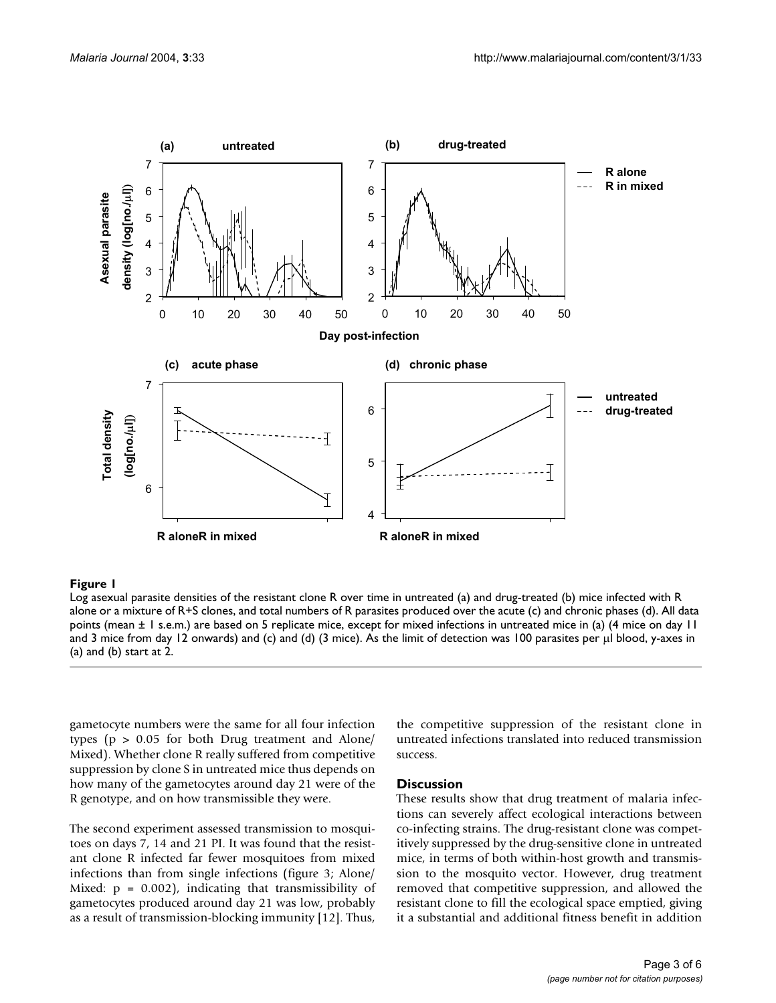<span id="page-2-0"></span>

#### Log asexual parasite densities of the resi alone or a mixture of R+S clones, and total numbers of R pa **Figure 1** stant clone R over time in untreated (a) rasites produced over the acute (c) and chronic phases (d) and drug-treated (b) mice infected with R

Log asexual parasite densities of the resistant clone R over time in untreated (a) and drug-treated (b) mice infected with R alone or a mixture of R+S clones, and total numbers of R parasites produced over the acute (c) and chronic phases (d). All data points (mean ± 1 s.e.m.) are based on 5 replicate mice, except for mixed infections in untreated mice in (a) (4 mice on day 11 and 3 mice from day 12 onwards) and (c) and (d) (3 mice). As the limit of detection was 100 parasites per µl blood, y-axes in (a) and (b) start at 2.

gametocyte numbers were the same for all four infection types (p > 0.05 for both Drug treatment and Alone/ Mixed). Whether clone R really suffered from competitive suppression by clone S in untreated mice thus depends on how many of the gametocytes around day 21 were of the R genotype, and on how transmissible they were.

The second experiment assessed transmission to mosquitoes on days 7, 14 and 21 PI. It was found that the resistant clone R infected far fewer mosquitoes from mixed infections than from single infections (figure [3;](#page-3-0) Alone/ Mixed:  $p = 0.002$ , indicating that transmissibility of gametocytes produced around day 21 was low, probably as a result of transmission-blocking immunity [12]. Thus,

the competitive suppression of the resistant clone in untreated infections translated into reduced transmission success.

#### **Discussion**

These results show that drug treatment of malaria infections can severely affect ecological interactions between co-infecting strains. The drug-resistant clone was competitively suppressed by the drug-sensitive clone in untreated mice, in terms of both within-host growth and transmission to the mosquito vector. However, drug treatment removed that competitive suppression, and allowed the resistant clone to fill the ecological space emptied, giving it a substantial and additional fitness benefit in addition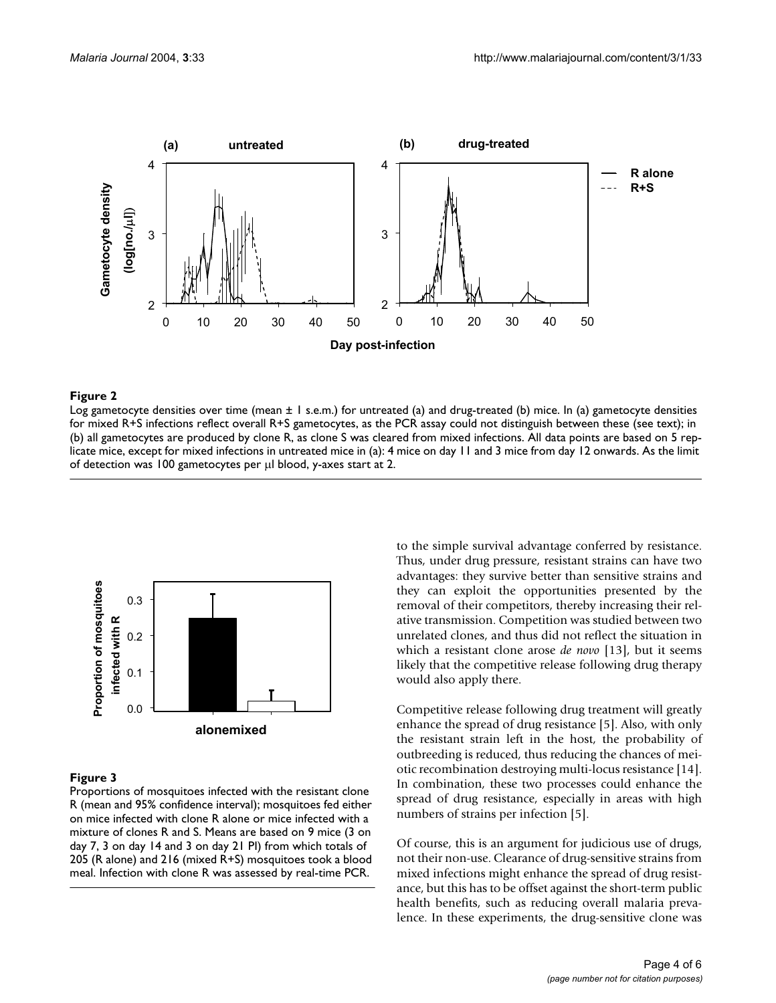

#### Log gametocyte densities over time (mean ± 1 s.e. **Figure 2** m.) for untreated (a) and drug-treated (b) mice

Log gametocyte densities over time (mean  $\pm 1$  s.e.m.) for untreated (a) and drug-treated (b) mice. In (a) gametocyte densities for mixed R+S infections reflect overall R+S gametocytes, as the PCR assay could not distinguish between these (see text); in (b) all gametocytes are produced by clone R, as clone S was cleared from mixed infections. All data points are based on 5 replicate mice, except for mixed infections in untreated mice in (a): 4 mice on day 11 and 3 mice from day 12 onwards. As the limit of detection was 100 gametocytes per µl blood, y-axes start at 2.

<span id="page-3-0"></span>

#### **Figure 3**

Proportions of mosquitoes infected with the resistant clone R (mean and 95% confidence interval); mosquitoes fed either on mice infected with clone R alone or mice infected with a mixture of clones R and S. Means are based on 9 mice (3 on day 7, 3 on day 14 and 3 on day 21 PI) from which totals of 205 (R alone) and 216 (mixed R+S) mosquitoes took a blood meal. Infection with clone R was assessed by real-time PCR.

to the simple survival advantage conferred by resistance. Thus, under drug pressure, resistant strains can have two advantages: they survive better than sensitive strains and they can exploit the opportunities presented by the removal of their competitors, thereby increasing their relative transmission. Competition was studied between two unrelated clones, and thus did not reflect the situation in which a resistant clone arose *de novo* [[13](#page-4-3)], but it seems likely that the competitive release following drug therapy would also apply there.

Competitive release following drug treatment will greatly enhance the spread of drug resistance [5]. Also, with only the resistant strain left in the host, the probability of outbreeding is reduced, thus reducing the chances of meiotic recombination destroying multi-locus resistance [14]. In combination, these two processes could enhance the spread of drug resistance, especially in areas with high numbers of strains per infection [5].

Of course, this is an argument for judicious use of drugs, not their non-use. Clearance of drug-sensitive strains from mixed infections might enhance the spread of drug resistance, but this has to be offset against the short-term public health benefits, such as reducing overall malaria prevalence. In these experiments, the drug-sensitive clone was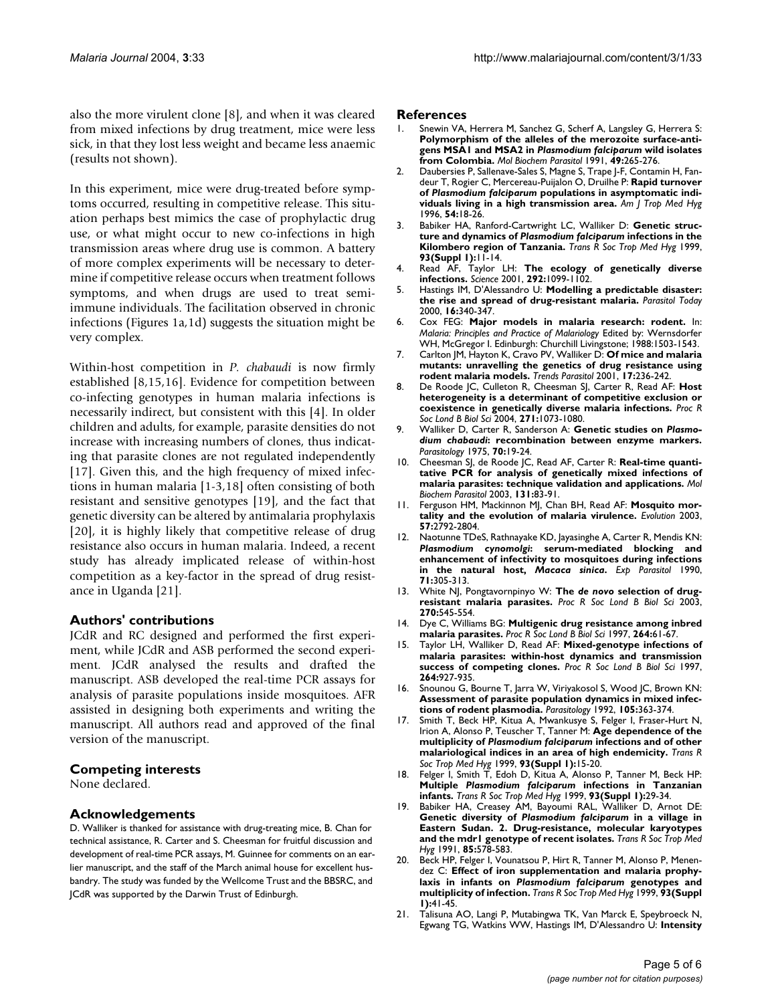also the more virulent clone [8], and when it was cleared from mixed infections by drug treatment, mice were less sick, in that they lost less weight and became less anaemic (results not shown).

In this experiment, mice were drug-treated before symptoms occurred, resulting in competitive release. This situation perhaps best mimics the case of prophylactic drug use, or what might occur to new co-infections in high transmission areas where drug use is common. A battery of more complex experiments will be necessary to determine if competitive release occurs when treatment follows symptoms, and when drugs are used to treat semiimmune individuals. The facilitation observed in chronic infections (Figures [1](#page-2-0)a,1d) suggests the situation might be very complex.

Within-host competition in *P. chabaudi* is now firmly established [8,15,16]. Evidence for competition between co-infecting genotypes in human malaria infections is necessarily indirect, but consistent with this [4]. In older children and adults, for example, parasite densities do not increase with increasing numbers of clones, thus indicating that parasite clones are not regulated independently [[17](#page-4-4)]. Given this, and the high frequency of mixed infections in human malaria [[1](#page-4-0)[-3](#page-4-1),[18\]](#page-4-5) often consisting of both resistant and sensitive genotypes [\[19\]](#page-4-6), and the fact that genetic diversity can be altered by antimalaria prophylaxis [[20](#page-4-7)], it is highly likely that competitive release of drug resistance also occurs in human malaria. Indeed, a recent study has already implicated release of within-host competition as a key-factor in the spread of drug resistance in Uganda [21].

### **Authors' contributions**

JCdR and RC designed and performed the first experiment, while JCdR and ASB performed the second experiment. JCdR analysed the results and drafted the manuscript. ASB developed the real-time PCR assays for analysis of parasite populations inside mosquitoes. AFR assisted in designing both experiments and writing the manuscript. All authors read and approved of the final version of the manuscript.

#### **Competing interests**

None declared.

#### **Acknowledgements**

D. Walliker is thanked for assistance with drug-treating mice, B. Chan for technical assistance, R. Carter and S. Cheesman for fruitful discussion and development of real-time PCR assays, M. Guinnee for comments on an earlier manuscript, and the staff of the March animal house for excellent husbandry. The study was funded by the Wellcome Trust and the BBSRC, and JCdR was supported by the Darwin Trust of Edinburgh.

#### **References**

- <span id="page-4-0"></span>1. Snewin VA, Herrera M, Sanchez G, Scherf A, Langsley G, Herrera S: **Polymorphism of the alleles of the merozoite surface-antigens MSA1 and MSA2 in** *Plasmodium falciparum* **[wild isolates](http://www.ncbi.nlm.nih.gov/entrez/query.fcgi?cmd=Retrieve&db=PubMed&dopt=Abstract&list_uids=10.1016/0166-6851(91)90070-M) [from Colombia](http://www.ncbi.nlm.nih.gov/entrez/query.fcgi?cmd=Retrieve&db=PubMed&dopt=Abstract&list_uids=10.1016/0166-6851(91)90070-M)[.](http://www.ncbi.nlm.nih.gov/entrez/query.fcgi?cmd=Retrieve&db=PubMed&dopt=Abstract&list_uids=1775170)** *Mol Biochem Parasitol* 1991, **49:**265-276.
- 2. Daubersies P, Sallenave-Sales S, Magne S, Trape J-F, Contamin H, Fandeur T, Rogier C, Mercereau-Puijalon O, Druilhe P: **Rapid turnover of** *Plasmodium falciparum* **[populations in asymptomatic indi](http://www.ncbi.nlm.nih.gov/entrez/query.fcgi?cmd=Retrieve&db=PubMed&dopt=Abstract&list_uids=8651363)[viduals living in a high transmission area.](http://www.ncbi.nlm.nih.gov/entrez/query.fcgi?cmd=Retrieve&db=PubMed&dopt=Abstract&list_uids=8651363)** *Am J Trop Med Hyg* 1996, **54:**18-26.
- <span id="page-4-1"></span>3. Babiker HA, Ranford-Cartwright LC, Walliker D: **Genetic structure and dynamics of** *Plasmodium falciparum* **[infections in the](http://www.ncbi.nlm.nih.gov/entrez/query.fcgi?cmd=Retrieve&db=PubMed&dopt=Abstract&list_uids=10450420) [Kilombero region of Tanzania.](http://www.ncbi.nlm.nih.gov/entrez/query.fcgi?cmd=Retrieve&db=PubMed&dopt=Abstract&list_uids=10450420)** *Trans R Soc Trop Med Hyg* 1999, **93(Suppl 1):**11-14.
- 4. Read AF, Taylor LH: **[The ecology of genetically diverse](http://www.ncbi.nlm.nih.gov/entrez/query.fcgi?cmd=Retrieve&db=PubMed&dopt=Abstract&list_uids=10.1126/science.1059410) [infections](http://www.ncbi.nlm.nih.gov/entrez/query.fcgi?cmd=Retrieve&db=PubMed&dopt=Abstract&list_uids=10.1126/science.1059410)[.](http://www.ncbi.nlm.nih.gov/entrez/query.fcgi?cmd=Retrieve&db=PubMed&dopt=Abstract&list_uids=11352063)** *Science* 2001, **292:**1099-1102.
- 5. Hastings IM, D'Alessandro U: **[Modelling a predictable disaster:](http://www.ncbi.nlm.nih.gov/entrez/query.fcgi?cmd=Retrieve&db=PubMed&dopt=Abstract&list_uids=10.1016/S0169-4758(00)01707-5) [the rise and spread of drug-resistant malaria](http://www.ncbi.nlm.nih.gov/entrez/query.fcgi?cmd=Retrieve&db=PubMed&dopt=Abstract&list_uids=10.1016/S0169-4758(00)01707-5)[.](http://www.ncbi.nlm.nih.gov/entrez/query.fcgi?cmd=Retrieve&db=PubMed&dopt=Abstract&list_uids=10900482)** *Parasitol Today* 2000, **16:**340-347.
- 6. Cox FEG: **Major models in malaria research: rodent.** In: *Malaria: Principles and Practice of Malariology* Edited by: Wernsdorfer WH, McGregor I. Edinburgh: Churchill Livingstone; 1988:1503-1543.
- 7. Carlton JM, Hayton K, Cravo PV, Walliker D: **[Of mice and malaria](http://www.ncbi.nlm.nih.gov/entrez/query.fcgi?cmd=Retrieve&db=PubMed&dopt=Abstract&list_uids=10.1016/S1471-4922(01)01899-2) [mutants: unravelling the genetics of drug resistance using](http://www.ncbi.nlm.nih.gov/entrez/query.fcgi?cmd=Retrieve&db=PubMed&dopt=Abstract&list_uids=10.1016/S1471-4922(01)01899-2) [rodent malaria models](http://www.ncbi.nlm.nih.gov/entrez/query.fcgi?cmd=Retrieve&db=PubMed&dopt=Abstract&list_uids=10.1016/S1471-4922(01)01899-2)[.](http://www.ncbi.nlm.nih.gov/entrez/query.fcgi?cmd=Retrieve&db=PubMed&dopt=Abstract&list_uids=11323308)** *Trends Parasitol* 2001, **17:**236-242.
- 8. De Roode JC, Culleton R, Cheesman SJ, Carter R, Read AF: **[Host](http://www.ncbi.nlm.nih.gov/entrez/query.fcgi?cmd=Retrieve&db=PubMed&dopt=Abstract&list_uids=10.1098/rspb.2004.2695) [heterogeneity is a determinant of competitive exclusion or](http://www.ncbi.nlm.nih.gov/entrez/query.fcgi?cmd=Retrieve&db=PubMed&dopt=Abstract&list_uids=10.1098/rspb.2004.2695) [coexistence in genetically diverse malaria infections](http://www.ncbi.nlm.nih.gov/entrez/query.fcgi?cmd=Retrieve&db=PubMed&dopt=Abstract&list_uids=10.1098/rspb.2004.2695)[.](http://www.ncbi.nlm.nih.gov/entrez/query.fcgi?cmd=Retrieve&db=PubMed&dopt=Abstract&list_uids=15293862)** *Proc R Soc Lond B Biol Sci* 2004, **271:**1073-1080.
- <span id="page-4-2"></span>9. Walliker D, Carter R, Sanderson A: **Genetic studies on** *Plasmodium chabaudi***[: recombination between enzyme markers.](http://www.ncbi.nlm.nih.gov/entrez/query.fcgi?cmd=Retrieve&db=PubMed&dopt=Abstract&list_uids=1118185)** *Parasitology* 1975, **70:**19-24.
- 10. Cheesman SJ, de Roode JC, Read AF, Carter R: **[Real-time quanti](http://www.ncbi.nlm.nih.gov/entrez/query.fcgi?cmd=Retrieve&db=PubMed&dopt=Abstract&list_uids=10.1016/S0166-6851(03)00195-6)[tative PCR for analysis of genetically mixed infections of](http://www.ncbi.nlm.nih.gov/entrez/query.fcgi?cmd=Retrieve&db=PubMed&dopt=Abstract&list_uids=10.1016/S0166-6851(03)00195-6) [malaria parasites: technique validation and applications](http://www.ncbi.nlm.nih.gov/entrez/query.fcgi?cmd=Retrieve&db=PubMed&dopt=Abstract&list_uids=10.1016/S0166-6851(03)00195-6)[.](http://www.ncbi.nlm.nih.gov/entrez/query.fcgi?cmd=Retrieve&db=PubMed&dopt=Abstract&list_uids=14511807)** *Mol Biochem Parasitol* 2003, **131:**83-91.
- 11. Ferguson HM, Mackinnon MJ, Chan BH, Read AF: **[Mosquito mor](http://www.ncbi.nlm.nih.gov/entrez/query.fcgi?cmd=Retrieve&db=PubMed&dopt=Abstract&list_uids=14761058)[tality and the evolution of malaria virulence.](http://www.ncbi.nlm.nih.gov/entrez/query.fcgi?cmd=Retrieve&db=PubMed&dopt=Abstract&list_uids=14761058)** *Evolution* 2003, **57:**2792-2804.
- 12. Naotunne TDeS, Rathnayake KD, Jayasinghe A, Carter R, Mendis KN: *Plasmodium cynomolgi***: serum-mediated blocking and enhancement of infectivity to mosquitoes during infections in the natural host,** *Macaca sinica***[.](http://www.ncbi.nlm.nih.gov/entrez/query.fcgi?cmd=Retrieve&db=PubMed&dopt=Abstract&list_uids=2209788)** *Exp Parasitol* 1990, **71:**305-313.
- <span id="page-4-3"></span>13. White NJ, Pongtavornpinyo W: **The** *de novo* **[selection of drug](http://www.ncbi.nlm.nih.gov/entrez/query.fcgi?cmd=Retrieve&db=PubMed&dopt=Abstract&list_uids=10.1098/rspb.2002.2241)[resistant malaria parasites](http://www.ncbi.nlm.nih.gov/entrez/query.fcgi?cmd=Retrieve&db=PubMed&dopt=Abstract&list_uids=10.1098/rspb.2002.2241)[.](http://www.ncbi.nlm.nih.gov/entrez/query.fcgi?cmd=Retrieve&db=PubMed&dopt=Abstract&list_uids=12641911)** *Proc R Soc Lond B Biol Sci* 2003, **270:**545-554.
- 14. Dye C, Williams BG: **[Multigenic drug resistance among inbred](http://www.ncbi.nlm.nih.gov/entrez/query.fcgi?cmd=Retrieve&db=PubMed&dopt=Abstract&list_uids=10.1098/rspb.1997.0009) [malaria parasites](http://www.ncbi.nlm.nih.gov/entrez/query.fcgi?cmd=Retrieve&db=PubMed&dopt=Abstract&list_uids=10.1098/rspb.1997.0009)[.](http://www.ncbi.nlm.nih.gov/entrez/query.fcgi?cmd=Retrieve&db=PubMed&dopt=Abstract&list_uids=9061961)** *Proc R Soc Lond B Biol Sci* 1997, **264:**61-67.
- 15. Taylor LH, Walliker D, Read AF: **[Mixed-genotype infections of](http://www.ncbi.nlm.nih.gov/entrez/query.fcgi?cmd=Retrieve&db=PubMed&dopt=Abstract&list_uids=10.1098/rspb.1997.0128) [malaria parasites: within-host dynamics and transmission](http://www.ncbi.nlm.nih.gov/entrez/query.fcgi?cmd=Retrieve&db=PubMed&dopt=Abstract&list_uids=10.1098/rspb.1997.0128) [success of competing clones](http://www.ncbi.nlm.nih.gov/entrez/query.fcgi?cmd=Retrieve&db=PubMed&dopt=Abstract&list_uids=10.1098/rspb.1997.0128)[.](http://www.ncbi.nlm.nih.gov/entrez/query.fcgi?cmd=Retrieve&db=PubMed&dopt=Abstract&list_uids=9225482)** *Proc R Soc Lond B Biol Sci* 1997, **264:**927-935.
- 16. Snounou G, Bourne T, Jarra W, Viriyakosol S, Wood JC, Brown KN: **[Assessment of parasite population dynamics in mixed infec](http://www.ncbi.nlm.nih.gov/entrez/query.fcgi?cmd=Retrieve&db=PubMed&dopt=Abstract&list_uids=1461677)[tions of rodent plasmodia.](http://www.ncbi.nlm.nih.gov/entrez/query.fcgi?cmd=Retrieve&db=PubMed&dopt=Abstract&list_uids=1461677)** *Parasitology* 1992, **105:**363-374.
- <span id="page-4-4"></span>17. Smith T, Beck HP, Kitua A, Mwankusye S, Felger I, Fraser-Hurt N, Irion A, Alonso P, Teuscher T, Tanner M: **Age dependence of the multiplicity of** *Plasmodium falciparum* **[infections and of other](http://www.ncbi.nlm.nih.gov/entrez/query.fcgi?cmd=Retrieve&db=PubMed&dopt=Abstract&list_uids=10450421) [malariological indices in an area of high endemicity.](http://www.ncbi.nlm.nih.gov/entrez/query.fcgi?cmd=Retrieve&db=PubMed&dopt=Abstract&list_uids=10450421)** *Trans R Soc Trop Med Hyg* 1999, **93(Suppl 1):**15-20.
- <span id="page-4-5"></span>18. Felger I, Smith T, Edoh D, Kitua A, Alonso P, Tanner M, Beck HP: **Multiple** *Plasmodium falciparum* **[infections in Tanzanian](http://www.ncbi.nlm.nih.gov/entrez/query.fcgi?cmd=Retrieve&db=PubMed&dopt=Abstract&list_uids=10450423) [infants.](http://www.ncbi.nlm.nih.gov/entrez/query.fcgi?cmd=Retrieve&db=PubMed&dopt=Abstract&list_uids=10450423)** *Trans R Soc Trop Med Hyg* 1999, **93(Suppl 1):**29-34.
- <span id="page-4-6"></span>19. Babiker HA, Creasey AM, Bayoumi RAL, Walliker D, Arnot DE: **Genetic diversity of** *Plasmodium falciparum* **[in a village in](http://www.ncbi.nlm.nih.gov/entrez/query.fcgi?cmd=Retrieve&db=PubMed&dopt=Abstract&list_uids=10.1016/0035-9203(91)90349-4) [Eastern Sudan. 2. Drug-resistance, molecular karyotypes](http://www.ncbi.nlm.nih.gov/entrez/query.fcgi?cmd=Retrieve&db=PubMed&dopt=Abstract&list_uids=10.1016/0035-9203(91)90349-4) [and the mdr1 genotype of recent isolates](http://www.ncbi.nlm.nih.gov/entrez/query.fcgi?cmd=Retrieve&db=PubMed&dopt=Abstract&list_uids=10.1016/0035-9203(91)90349-4)[.](http://www.ncbi.nlm.nih.gov/entrez/query.fcgi?cmd=Retrieve&db=PubMed&dopt=Abstract&list_uids=1780979)** *Trans R Soc Trop Med Hyg* 1991, **85:**578-583.
- <span id="page-4-7"></span>20. Beck HP, Felger I, Vounatsou P, Hirt R, Tanner M, Alonso P, Menendez C: **Effect of iron supplementation and malaria prophylaxis in infants on** *Plasmodium falciparum* **[genotypes and](http://www.ncbi.nlm.nih.gov/entrez/query.fcgi?cmd=Retrieve&db=PubMed&dopt=Abstract&list_uids=10450425) [multiplicity of infection.](http://www.ncbi.nlm.nih.gov/entrez/query.fcgi?cmd=Retrieve&db=PubMed&dopt=Abstract&list_uids=10450425)** *Trans R Soc Trop Med Hyg* 1999, **93(Suppl 1):**41-45.
- 21. Talisuna AO, Langi P, Mutabingwa TK, Van Marck E, Speybroeck N, Egwang TG, Watkins WW, Hastings IM, D'Alessandro U: **[Intensity](http://www.ncbi.nlm.nih.gov/entrez/query.fcgi?cmd=Retrieve&db=PubMed&dopt=Abstract&list_uids=10.1016/S0020-7519(03)00156-5)**